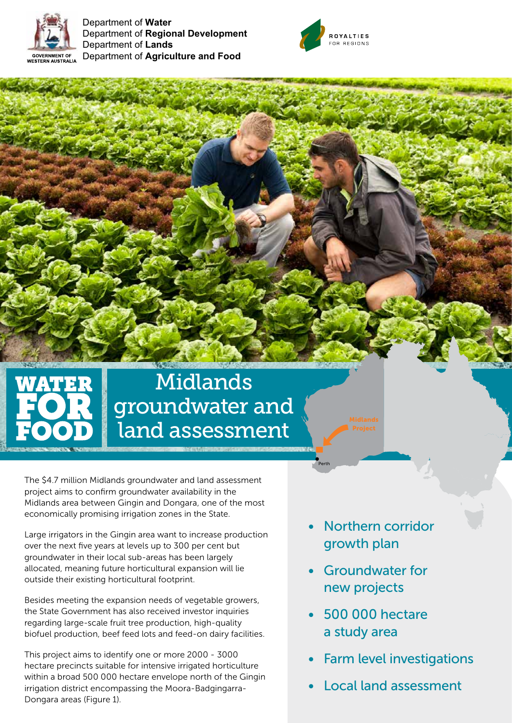

Department of **Water** Department of **Regional Development** Department of **Lands** Department of **Agriculture and Food**



# Midlands groundwater and land assessment

The \$4.7 million Midlands groundwater and land assessment project aims to confirm groundwater availability in the Midlands area between Gingin and Dongara, one of the most economically promising irrigation zones in the State.

Large irrigators in the Gingin area want to increase production over the next five years at levels up to 300 per cent but groundwater in their local sub-areas has been largely allocated, meaning future horticultural expansion will lie outside their existing horticultural footprint.

Besides meeting the expansion needs of vegetable growers, the State Government has also received investor inquiries regarding large-scale fruit tree production, high-quality biofuel production, beef feed lots and feed-on dairy facilities.

This project aims to identify one or more 2000 - 3000 hectare precincts suitable for intensive irrigated horticulture within a broad 500 000 hectare envelope north of the Gingin irrigation district encompassing the Moora-Badgingarra-Dongara areas (Figure 1).

• Northern corridor growth plan

Perth

- Groundwater for new projects
- 500 000 hectare a study area
- **Farm level investigations**
- Local land assessment